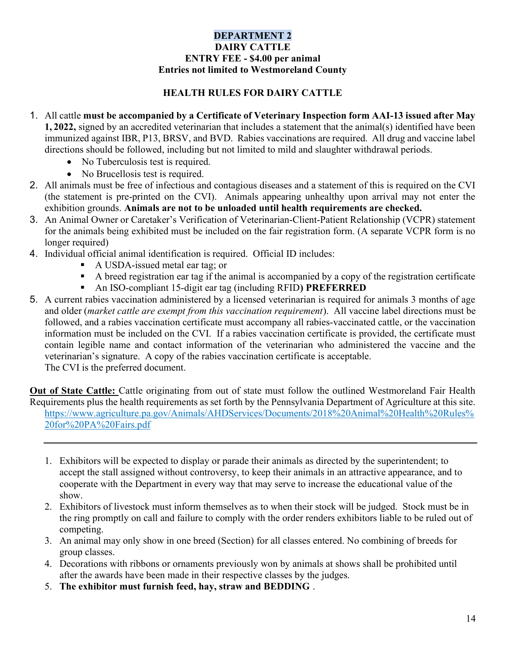## DEPARTMENT 2 DAIRY CATTLE ENTRY FEE - \$4.00 per animal Entries not limited to Westmoreland County

## HEALTH RULES FOR DAIRY CATTLE

- 1. All cattle must be accompanied by a Certificate of Veterinary Inspection form AAI-13 issued after May 1, 2022, signed by an accredited veterinarian that includes a statement that the animal(s) identified have been immunized against IBR, P13, BRSV, and BVD. Rabies vaccinations are required. All drug and vaccine label directions should be followed, including but not limited to mild and slaughter withdrawal periods.
	- No Tuberculosis test is required.
	- No Brucellosis test is required.
- 2. All animals must be free of infectious and contagious diseases and a statement of this is required on the CVI (the statement is pre-printed on the CVI). Animals appearing unhealthy upon arrival may not enter the exhibition grounds. Animals are not to be unloaded until health requirements are checked.
- 3. An Animal Owner or Caretaker's Verification of Veterinarian-Client-Patient Relationship (VCPR) statement for the animals being exhibited must be included on the fair registration form. (A separate VCPR form is no longer required)
- 4. Individual official animal identification is required. Official ID includes:
	- A USDA-issued metal ear tag; or
	- A breed registration ear tag if the animal is accompanied by a copy of the registration certificate
	- An ISO-compliant 15-digit ear tag (including RFID) PREFERRED
- 5. A current rabies vaccination administered by a licensed veterinarian is required for animals 3 months of age and older (market cattle are exempt from this vaccination requirement). All vaccine label directions must be followed, and a rabies vaccination certificate must accompany all rabies-vaccinated cattle, or the vaccination information must be included on the CVI. If a rabies vaccination certificate is provided, the certificate must contain legible name and contact information of the veterinarian who administered the vaccine and the veterinarian's signature. A copy of the rabies vaccination certificate is acceptable. The CVI is the preferred document.

Out of State Cattle: Cattle originating from out of state must follow the outlined Westmoreland Fair Health Requirements plus the health requirements as set forth by the Pennsylvania Department of Agriculture at this site. https://www.agriculture.pa.gov/Animals/AHDServices/Documents/2018%20Animal%20Health%20Rules% 20for%20PA%20Fairs.pdf

- 1. Exhibitors will be expected to display or parade their animals as directed by the superintendent; to accept the stall assigned without controversy, to keep their animals in an attractive appearance, and to cooperate with the Department in every way that may serve to increase the educational value of the show.
- 2. Exhibitors of livestock must inform themselves as to when their stock will be judged. Stock must be in the ring promptly on call and failure to comply with the order renders exhibitors liable to be ruled out of competing.
- 3. An animal may only show in one breed (Section) for all classes entered. No combining of breeds for group classes.
- 4. Decorations with ribbons or ornaments previously won by animals at shows shall be prohibited until after the awards have been made in their respective classes by the judges.
- 5. The exhibitor must furnish feed, hay, straw and BEDDING .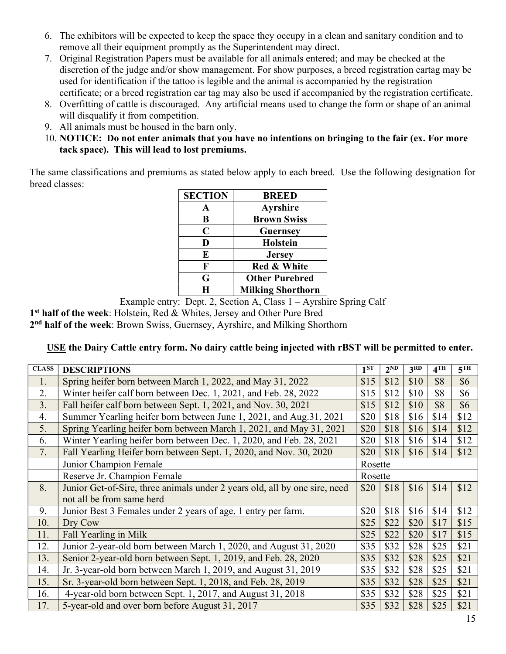- 6. The exhibitors will be expected to keep the space they occupy in a clean and sanitary condition and to remove all their equipment promptly as the Superintendent may direct.
- 7. Original Registration Papers must be available for all animals entered; and may be checked at the discretion of the judge and/or show management. For show purposes, a breed registration eartag may be used for identification if the tattoo is legible and the animal is accompanied by the registration certificate; or a breed registration ear tag may also be used if accompanied by the registration certificate.
- 8. Overfitting of cattle is discouraged. Any artificial means used to change the form or shape of an animal will disqualify it from competition.
- 9. All animals must be housed in the barn only.
- 10. NOTICE: Do not enter animals that you have no intentions on bringing to the fair (ex. For more tack space). This will lead to lost premiums.

The same classifications and premiums as stated below apply to each breed. Use the following designation for breed classes:

| <b>SECTION</b> | <b>BREED</b>             |
|----------------|--------------------------|
|                | <b>Ayrshire</b>          |
| B              | <b>Brown Swiss</b>       |
| $\mathbf C$    | <b>Guernsey</b>          |
| D              | <b>Holstein</b>          |
| E              | <b>Jersey</b>            |
| F              | Red & White              |
| G              | <b>Other Purebred</b>    |
| H              | <b>Milking Shorthorn</b> |

Example entry: Dept. 2, Section A, Class 1 – Ayrshire Spring Calf

1<sup>st</sup> half of the week: Holstein, Red & Whites, Jersey and Other Pure Bred

2<sup>nd</sup> half of the week: Brown Swiss, Guernsey, Ayrshire, and Milking Shorthorn

## USE the Dairy Cattle entry form. No dairy cattle being injected with rBST will be permitted to enter.

| <b>CLASS</b> | <b>DESCRIPTIONS</b>                                                        | 1 <sup>ST</sup> | $2^{ND}$ | 3 <sup>RD</sup> | $4$ TH | 5 <sup>TH</sup> |
|--------------|----------------------------------------------------------------------------|-----------------|----------|-----------------|--------|-----------------|
| 1.           | Spring heifer born between March 1, 2022, and May 31, 2022                 | \$15            | \$12     | \$10            | \$8    | \$6             |
| 2.           | Winter heifer calf born between Dec. 1, 2021, and Feb. 28, 2022            | \$15            | \$12     | \$10            | \$8    | \$6             |
| 3.           | Fall heifer calf born between Sept. 1, 2021, and Nov. 30, 2021             | \$15            | \$12     | \$10            | \$8    | \$6             |
| 4.           | Summer Yearling heifer born between June 1, 2021, and Aug.31, 2021         |                 | \$18     | \$16            | \$14   | \$12            |
| 5.           | Spring Yearling heifer born between March 1, 2021, and May 31, 2021        | \$20            | \$18     | \$16            | \$14   | \$12            |
| 6.           | Winter Yearling heifer born between Dec. 1, 2020, and Feb. 28, 2021        | \$20            | \$18     | \$16            | \$14   | \$12            |
| 7.           | Fall Yearling Heifer born between Sept. 1, 2020, and Nov. 30, 2020         | \$20            | \$18     | \$16            | \$14   | \$12            |
|              | Junior Champion Female                                                     | Rosette         |          |                 |        |                 |
|              | Reserve Jr. Champion Female                                                | Rosette         |          |                 |        |                 |
| 8.           | Junior Get-of-Sire, three animals under 2 years old, all by one sire, need | \$20            | \$18     | \$16            | \$14   | \$12            |
|              | not all be from same herd                                                  |                 |          |                 |        |                 |
| 9.           | Junior Best 3 Females under 2 years of age, 1 entry per farm.              | \$20            | \$18     | \$16            | \$14   | \$12            |
| 10.          | Dry Cow                                                                    | \$25            | \$22     | \$20            | \$17   | \$15            |
| 11.          | Fall Yearling in Milk                                                      | \$25            | \$22     | \$20            | \$17   | \$15            |
| 12.          | Junior 2-year-old born between March 1, 2020, and August 31, 2020          | \$35            | \$32     | \$28            | \$25   | \$21            |
| 13.          | Senior 2-year-old born between Sept. 1, 2019, and Feb. 28, 2020            | \$35            | \$32     | \$28            | \$25   | \$21            |
| 14.          | Jr. 3-year-old born between March 1, 2019, and August 31, 2019             | \$35            | \$32     | \$28            | \$25   | \$21            |
| 15.          | Sr. 3-year-old born between Sept. 1, 2018, and Feb. 28, 2019               | \$35            | \$32     | \$28            | \$25   | \$21            |
| 16.          | 4-year-old born between Sept. 1, 2017, and August 31, 2018                 | \$35            | \$32     | \$28            | \$25   | \$21            |
| 17.          | 5-year-old and over born before August 31, 2017                            | \$35            | \$32     | \$28            | \$25   | \$21            |